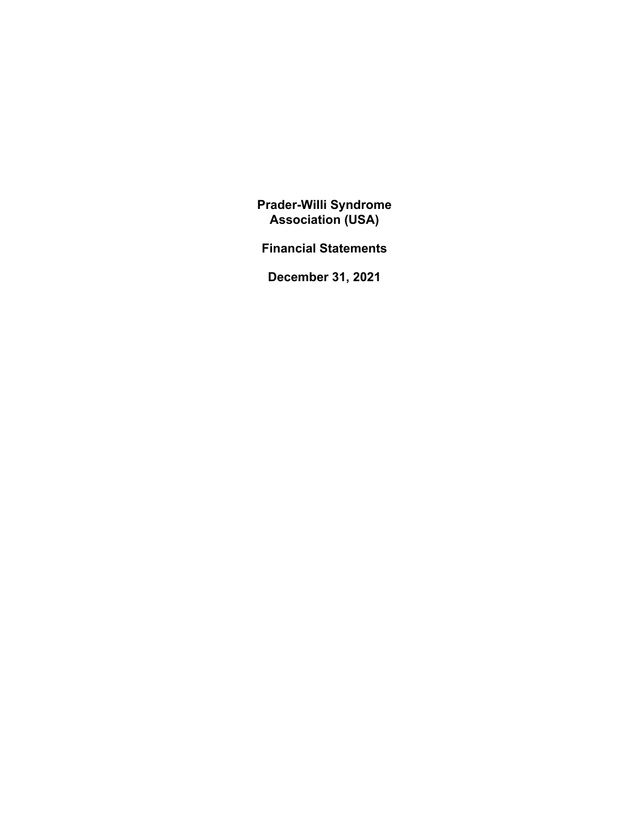**Financial Statements** 

**December 31, 2021**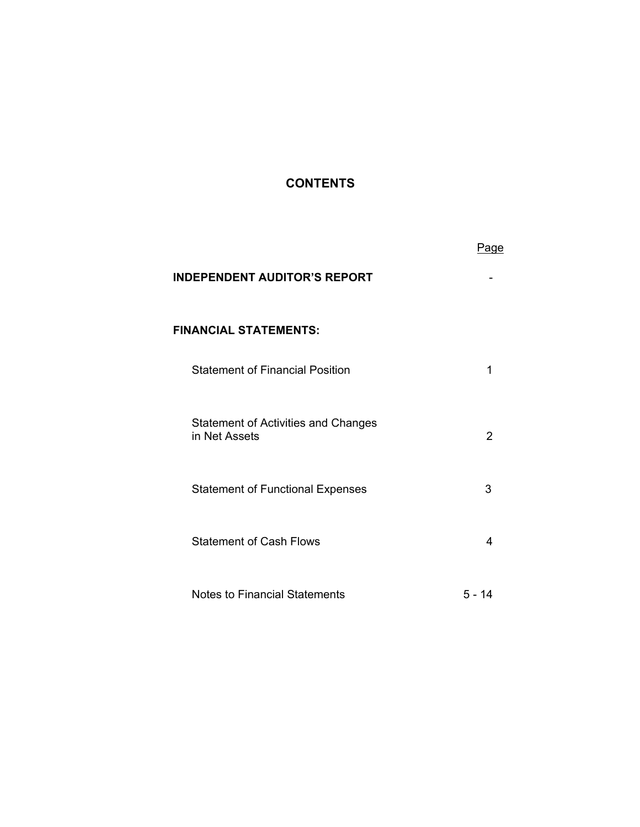# **CONTENTS**

|                                                             | Page           |
|-------------------------------------------------------------|----------------|
| <b>INDEPENDENT AUDITOR'S REPORT</b>                         |                |
| <b>FINANCIAL STATEMENTS:</b>                                |                |
| <b>Statement of Financial Position</b>                      | 1              |
| <b>Statement of Activities and Changes</b><br>in Net Assets | $\overline{2}$ |
| <b>Statement of Functional Expenses</b>                     | 3              |
| <b>Statement of Cash Flows</b>                              | 4              |
| <b>Notes to Financial Statements</b>                        | $5 - 14$       |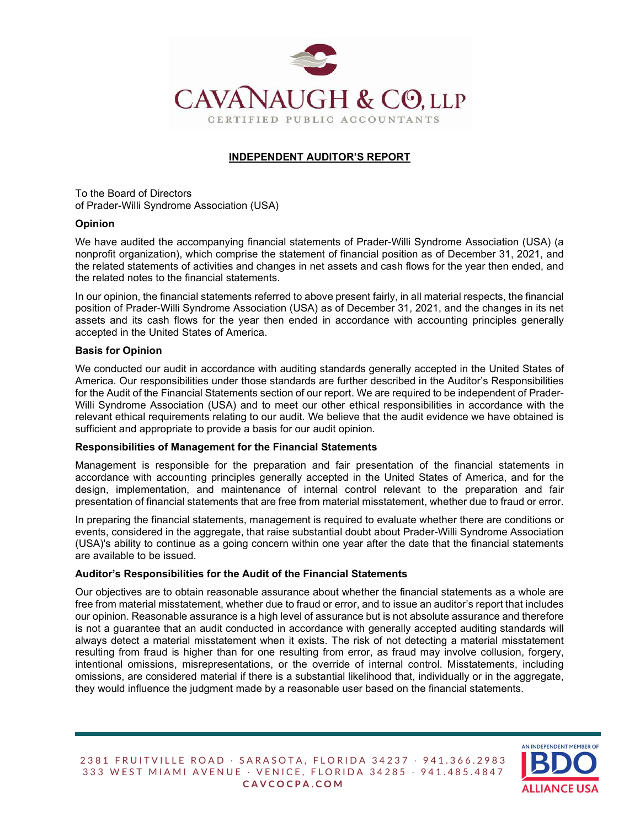

# INDEPENDENT AUDITOR'S REPORT

To the Board of Directors of Prader-Willi Syndrome Association (USA)

#### Opinion

We have audited the accompanying financial statements of Prader-Willi Syndrome Association (USA) (a nonprofit organization), which comprise the statement of financial position as of December 31, 2021, and the related statements of activities and changes in net assets and cash flows for the year then ended, and the related notes to the financial statements.

In our opinion, the financial statements referred to above present fairly, in all material respects, the financial position of Prader-Willi Syndrome Association (USA) as of December 31, 2021, and the changes in its net assets and its cash flows for the year then ended in accordance with accounting principles generally accepted in the United States of America.

#### Basis for Opinion

We conducted our audit in accordance with auditing standards generally accepted in the United States of America. Our responsibilities under those standards are further described in the Auditor's Responsibilities for the Audit of the Financial Statements section of our report. We are required to be independent of Prader-Willi Syndrome Association (USA) and to meet our other ethical responsibilities in accordance with the relevant ethical requirements relating to our audit. We believe that the audit evidence we have obtained is sufficient and appropriate to provide a basis for our audit opinion.

#### Responsibilities of Management for the Financial Statements

Management is responsible for the preparation and fair presentation of the financial statements in accordance with accounting principles generally accepted in the United States of America, and for the design, implementation, and maintenance of internal control relevant to the preparation and fair presentation of financial statements that are free from material misstatement, whether due to fraud or error.

In preparing the financial statements, management is required to evaluate whether there are conditions or events, considered in the aggregate, that raise substantial doubt about Prader-Willi Syndrome Association (USA)'s ability to continue as a going concern within one year after the date that the financial statements are available to be issued.

# Auditor's Responsibilities for the Audit of the Financial Statements

Our objectives are to obtain reasonable assurance about whether the financial statements as a whole are free from material misstatement, whether due to fraud or error, and to issue an auditor's report that includes our opinion. Reasonable assurance is a high level of assurance but is not absolute assurance and therefore is not a guarantee that an audit conducted in accordance with generally accepted auditing standards will always detect a material misstatement when it exists. The risk of not detecting a material misstatement resulting from fraud is higher than for one resulting from error, as fraud may involve collusion, forgery, intentional omissions, misrepresentations, or the override of internal control. Misstatements, including omissions, are considered material if there is a substantial likelihood that, individually or in the aggregate, they would influence the judgment made by a reasonable user based on the financial statements.

2381 FRUITVILLE ROAD · SARASOTA, FLORIDA 34237 · 941.366.2983 333 WEST MIAMI AVENUE · VENICE, FLORIDA 34285 · 941.485.4847 C A V C O C P A . C O M

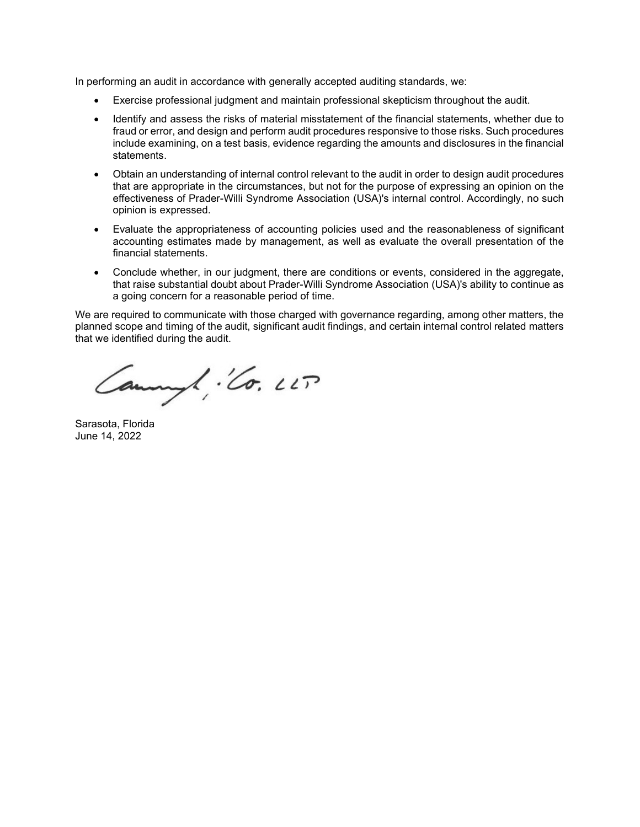In performing an audit in accordance with generally accepted auditing standards, we:

- Exercise professional judgment and maintain professional skepticism throughout the audit.
- Identify and assess the risks of material misstatement of the financial statements, whether due to fraud or error, and design and perform audit procedures responsive to those risks. Such procedures include examining, on a test basis, evidence regarding the amounts and disclosures in the financial statements.
- Obtain an understanding of internal control relevant to the audit in order to design audit procedures that are appropriate in the circumstances, but not for the purpose of expressing an opinion on the effectiveness of Prader-Willi Syndrome Association (USA)'s internal control. Accordingly, no such opinion is expressed.
- Evaluate the appropriateness of accounting policies used and the reasonableness of significant accounting estimates made by management, as well as evaluate the overall presentation of the financial statements.
- Conclude whether, in our judgment, there are conditions or events, considered in the aggregate, that raise substantial doubt about Prader-Willi Syndrome Association (USA)'s ability to continue as a going concern for a reasonable period of time.

We are required to communicate with those charged with governance regarding, among other matters, the planned scope and timing of the audit, significant audit findings, and certain internal control related matters that we identified during the audit.

Cannyl : 'Co. LLP

Sarasota, Florida June 14, 2022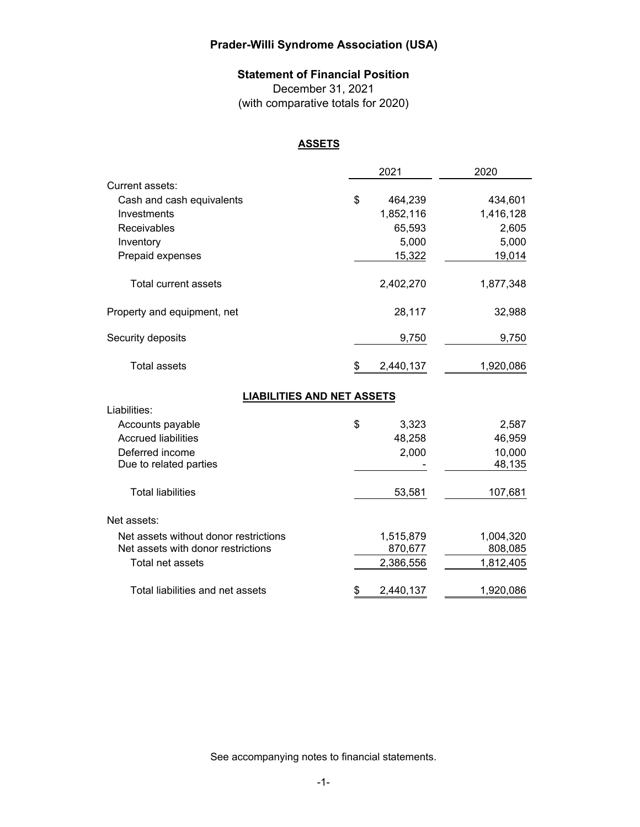# **Statement of Financial Position**

December 31, 2021 (with comparative totals for 2020)

# **ASSETS**

|                                       | 2021            | 2020      |
|---------------------------------------|-----------------|-----------|
| Current assets:                       |                 |           |
| Cash and cash equivalents             | \$<br>464,239   | 434,601   |
| Investments                           | 1,852,116       | 1,416,128 |
| Receivables                           | 65,593          | 2,605     |
| Inventory                             | 5,000           | 5,000     |
| Prepaid expenses                      | 15,322          | 19,014    |
| Total current assets                  | 2,402,270       | 1,877,348 |
| Property and equipment, net           | 28,117          | 32,988    |
| Security deposits                     | 9,750           | 9,750     |
| <b>Total assets</b>                   | \$<br>2,440,137 | 1,920,086 |
| <b>LIABILITIES AND NET ASSETS</b>     |                 |           |
| Liabilities:                          |                 |           |
| Accounts payable                      | \$<br>3,323     | 2,587     |
| <b>Accrued liabilities</b>            | 48,258          | 46,959    |
| Deferred income                       | 2,000           | 10,000    |
| Due to related parties                |                 | 48,135    |
| <b>Total liabilities</b>              | 53,581          | 107,681   |
| Net assets:                           |                 |           |
| Net assets without donor restrictions | 1,515,879       | 1,004,320 |
| Net assets with donor restrictions    | 870,677         | 808,085   |
| Total net assets                      | 2,386,556       | 1,812,405 |
| Total liabilities and net assets      | \$<br>2,440,137 | 1,920,086 |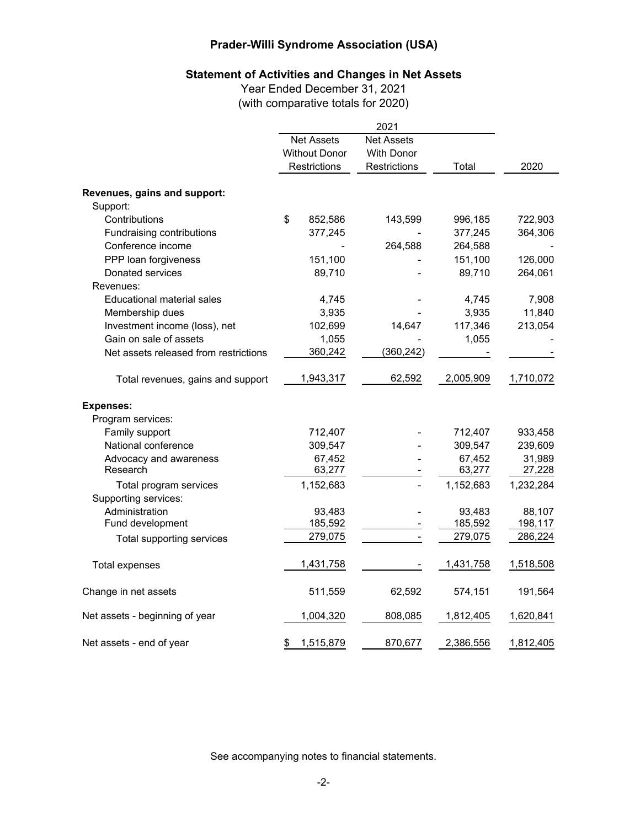# **Statement of Activities and Changes in Net Assets**

Year Ended December 31, 2021 (with comparative totals for 2020)

|                                       |                      | 2021              |                          |           |
|---------------------------------------|----------------------|-------------------|--------------------------|-----------|
|                                       | <b>Net Assets</b>    | <b>Net Assets</b> |                          |           |
|                                       | <b>Without Donor</b> | <b>With Donor</b> |                          |           |
|                                       | Restrictions         | Restrictions      | Total                    | 2020      |
| Revenues, gains and support:          |                      |                   |                          |           |
| Support:                              |                      |                   |                          |           |
| Contributions                         | \$<br>852,586        | 143,599           | 996,185                  | 722,903   |
| Fundraising contributions             | 377,245              |                   | 377,245                  | 364,306   |
| Conference income                     |                      | 264,588           | 264,588                  |           |
| PPP loan forgiveness                  | 151,100              |                   | 151,100                  | 126,000   |
| Donated services                      | 89,710               |                   | 89,710                   | 264,061   |
| Revenues:                             |                      |                   |                          |           |
| <b>Educational material sales</b>     | 4,745                |                   | 4,745                    | 7,908     |
| Membership dues                       | 3,935                |                   | 3,935                    | 11,840    |
| Investment income (loss), net         | 102,699              | 14,647            | 117,346                  | 213,054   |
| Gain on sale of assets                | 1,055                |                   | 1,055                    |           |
| Net assets released from restrictions | 360,242              | (360, 242)        | $\overline{\phantom{a}}$ |           |
| Total revenues, gains and support     | 1,943,317            | 62,592            | 2,005,909                | 1,710,072 |
| <b>Expenses:</b>                      |                      |                   |                          |           |
| Program services:                     |                      |                   |                          |           |
| Family support                        | 712,407              |                   | 712,407                  | 933,458   |
| National conference                   | 309,547              |                   | 309,547                  | 239,609   |
| Advocacy and awareness                | 67,452               |                   | 67,452                   | 31,989    |
| Research                              | 63,277               |                   | 63,277                   | 27,228    |
| Total program services                | 1,152,683            |                   | 1,152,683                | 1,232,284 |
| Supporting services:                  |                      |                   |                          |           |
| Administration                        | 93,483               |                   | 93,483                   | 88,107    |
| Fund development                      | 185,592              |                   | 185,592                  | 198,117   |
| Total supporting services             | 279,075              |                   | 279,075                  | 286,224   |
| <b>Total expenses</b>                 | 1,431,758            |                   | 1,431,758                | 1,518,508 |
| Change in net assets                  | 511,559              | 62,592            | 574,151                  | 191,564   |
| Net assets - beginning of year        | 1,004,320            | 808,085           | 1,812,405                | 1,620,841 |
| Net assets - end of year              | \$<br>1,515,879      | 870,677           | 2,386,556                | 1,812,405 |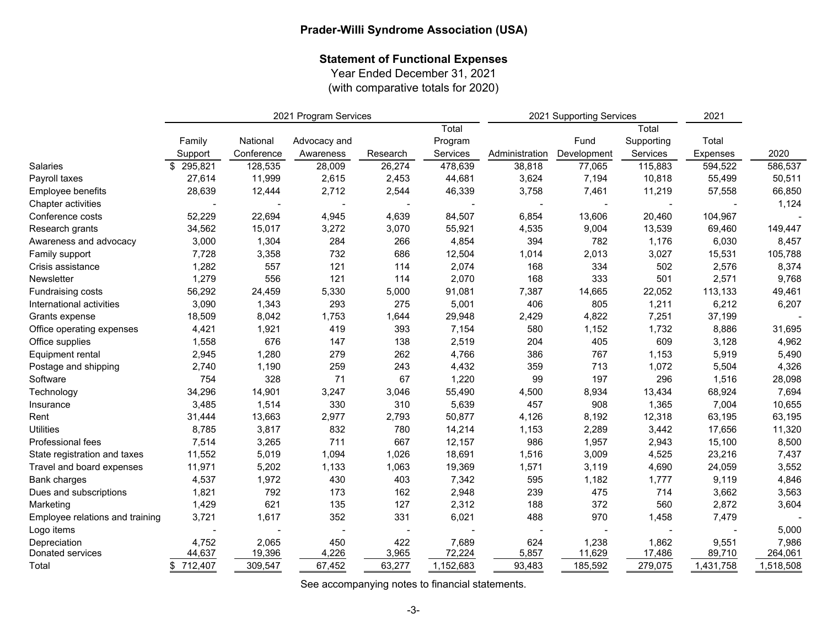# **Statement of Functional Expenses**

Year Ended December 31, 2021

(with comparative totals for 2020)

|                                 |               |            | 2021 Program Services |          |           |                |             | 2021       |           |           | 2021 Supporting Services |  |  |
|---------------------------------|---------------|------------|-----------------------|----------|-----------|----------------|-------------|------------|-----------|-----------|--------------------------|--|--|
|                                 |               |            |                       |          | Total     |                |             | Total      |           |           |                          |  |  |
|                                 | Family        | National   | Advocacy and          |          | Program   |                | Fund        | Supporting | Total     |           |                          |  |  |
|                                 | Support       | Conference | Awareness             | Research | Services  | Administration | Development | Services   | Expenses  | 2020      |                          |  |  |
| <b>Salaries</b>                 | \$<br>295,821 | 128,535    | 28,009                | 26,274   | 478,639   | 38,818         | 77,065      | 115,883    | 594,522   | 586,537   |                          |  |  |
| Payroll taxes                   | 27,614        | 11,999     | 2,615                 | 2,453    | 44,681    | 3,624          | 7,194       | 10,818     | 55,499    | 50,511    |                          |  |  |
| Employee benefits               | 28,639        | 12,444     | 2,712                 | 2,544    | 46,339    | 3,758          | 7,461       | 11,219     | 57,558    | 66,850    |                          |  |  |
| Chapter activities              |               |            |                       |          |           |                |             |            |           | 1,124     |                          |  |  |
| Conference costs                | 52,229        | 22,694     | 4,945                 | 4,639    | 84,507    | 6,854          | 13,606      | 20,460     | 104,967   |           |                          |  |  |
| Research grants                 | 34,562        | 15,017     | 3,272                 | 3,070    | 55,921    | 4,535          | 9,004       | 13,539     | 69,460    | 149,447   |                          |  |  |
| Awareness and advocacy          | 3,000         | 1,304      | 284                   | 266      | 4,854     | 394            | 782         | 1,176      | 6,030     | 8,457     |                          |  |  |
| Family support                  | 7,728         | 3,358      | 732                   | 686      | 12,504    | 1,014          | 2,013       | 3,027      | 15,531    | 105,788   |                          |  |  |
| Crisis assistance               | 1,282         | 557        | 121                   | 114      | 2,074     | 168            | 334         | 502        | 2,576     | 8,374     |                          |  |  |
| Newsletter                      | 1,279         | 556        | 121                   | 114      | 2,070     | 168            | 333         | 501        | 2,571     | 9,768     |                          |  |  |
| Fundraising costs               | 56,292        | 24,459     | 5,330                 | 5,000    | 91,081    | 7,387          | 14,665      | 22,052     | 113,133   | 49,461    |                          |  |  |
| International activities        | 3,090         | 1,343      | 293                   | 275      | 5,001     | 406            | 805         | 1,211      | 6,212     | 6,207     |                          |  |  |
| Grants expense                  | 18,509        | 8,042      | 1,753                 | 1,644    | 29,948    | 2,429          | 4,822       | 7,251      | 37,199    |           |                          |  |  |
| Office operating expenses       | 4,421         | 1,921      | 419                   | 393      | 7,154     | 580            | 1,152       | 1,732      | 8,886     | 31,695    |                          |  |  |
| Office supplies                 | 1,558         | 676        | 147                   | 138      | 2,519     | 204            | 405         | 609        | 3,128     | 4,962     |                          |  |  |
| Equipment rental                | 2,945         | 1,280      | 279                   | 262      | 4,766     | 386            | 767         | 1,153      | 5,919     | 5,490     |                          |  |  |
| Postage and shipping            | 2,740         | 1,190      | 259                   | 243      | 4,432     | 359            | 713         | 1,072      | 5,504     | 4,326     |                          |  |  |
| Software                        | 754           | 328        | 71                    | 67       | 1,220     | 99             | 197         | 296        | 1,516     | 28,098    |                          |  |  |
| Technology                      | 34,296        | 14,901     | 3,247                 | 3,046    | 55,490    | 4,500          | 8,934       | 13,434     | 68,924    | 7,694     |                          |  |  |
| Insurance                       | 3,485         | 1,514      | 330                   | 310      | 5,639     | 457            | 908         | 1,365      | 7,004     | 10,655    |                          |  |  |
| Rent                            | 31,444        | 13,663     | 2,977                 | 2,793    | 50,877    | 4,126          | 8,192       | 12,318     | 63,195    | 63,195    |                          |  |  |
| <b>Utilities</b>                | 8,785         | 3,817      | 832                   | 780      | 14,214    | 1,153          | 2,289       | 3,442      | 17,656    | 11,320    |                          |  |  |
| Professional fees               | 7,514         | 3,265      | 711                   | 667      | 12,157    | 986            | 1,957       | 2,943      | 15,100    | 8,500     |                          |  |  |
| State registration and taxes    | 11,552        | 5,019      | 1,094                 | 1,026    | 18,691    | 1,516          | 3,009       | 4,525      | 23,216    | 7,437     |                          |  |  |
| Travel and board expenses       | 11,971        | 5,202      | 1,133                 | 1,063    | 19,369    | 1,571          | 3,119       | 4,690      | 24,059    | 3,552     |                          |  |  |
| Bank charges                    | 4,537         | 1,972      | 430                   | 403      | 7,342     | 595            | 1,182       | 1,777      | 9,119     | 4,846     |                          |  |  |
| Dues and subscriptions          | 1,821         | 792        | 173                   | 162      | 2,948     | 239            | 475         | 714        | 3,662     | 3,563     |                          |  |  |
| Marketing                       | 1,429         | 621        | 135                   | 127      | 2,312     | 188            | 372         | 560        | 2,872     | 3,604     |                          |  |  |
| Employee relations and training | 3,721         | 1,617      | 352                   | 331      | 6,021     | 488            | 970         | 1,458      | 7,479     |           |                          |  |  |
| Logo items                      |               |            |                       |          |           |                |             |            |           | 5,000     |                          |  |  |
| Depreciation                    | 4,752         | 2,065      | 450                   | 422      | 7,689     | 624            | 1,238       | 1,862      | 9,551     | 7,986     |                          |  |  |
| Donated services                | 44,637        | 19,396     | 4,226                 | 3,965    | 72,224    | 5,857          | 11,629      | 17,486     | 89,710    | 264,061   |                          |  |  |
| Total                           | 712,407<br>\$ | 309,547    | 67,452                | 63,277   | 1,152,683 | 93,483         | 185,592     | 279,075    | 1,431,758 | 1,518,508 |                          |  |  |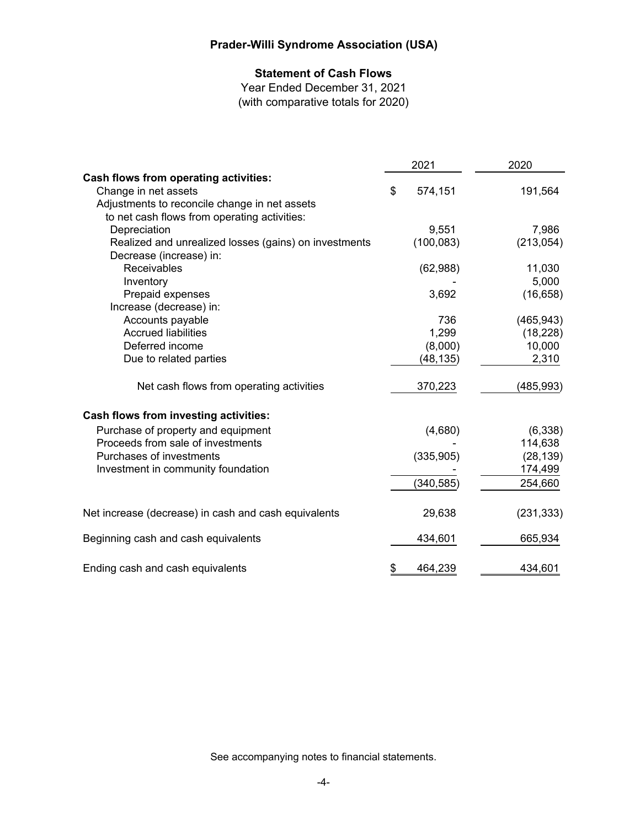# **Statement of Cash Flows**

Year Ended December 31, 2021 (with comparative totals for 2020)

|                                                       |    | 2021       | 2020       |  |
|-------------------------------------------------------|----|------------|------------|--|
| Cash flows from operating activities:                 |    |            |            |  |
| Change in net assets                                  | \$ | 574,151    | 191,564    |  |
| Adjustments to reconcile change in net assets         |    |            |            |  |
| to net cash flows from operating activities:          |    |            |            |  |
| Depreciation                                          |    | 9,551      | 7,986      |  |
| Realized and unrealized losses (gains) on investments |    | (100, 083) | (213, 054) |  |
| Decrease (increase) in:                               |    |            |            |  |
| <b>Receivables</b>                                    |    | (62,988)   | 11,030     |  |
| Inventory                                             |    |            | 5,000      |  |
| Prepaid expenses                                      |    | 3,692      | (16, 658)  |  |
| Increase (decrease) in:                               |    |            |            |  |
| Accounts payable                                      |    | 736        | (465, 943) |  |
| <b>Accrued liabilities</b>                            |    | 1,299      | (18, 228)  |  |
| Deferred income                                       |    | (8,000)    | 10,000     |  |
| Due to related parties                                |    | (48,135)   | 2,310      |  |
| Net cash flows from operating activities              |    | 370,223    | (485, 993) |  |
| Cash flows from investing activities:                 |    |            |            |  |
| Purchase of property and equipment                    |    | (4,680)    | (6,338)    |  |
| Proceeds from sale of investments                     |    |            | 114,638    |  |
| Purchases of investments                              |    | (335, 905) | (28, 139)  |  |
| Investment in community foundation                    |    |            | 174,499    |  |
|                                                       |    | (340,585)  | 254,660    |  |
|                                                       |    | 29,638     |            |  |
| Net increase (decrease) in cash and cash equivalents  |    |            | (231, 333) |  |
| Beginning cash and cash equivalents                   |    | 434,601    | 665,934    |  |
| Ending cash and cash equivalents                      | \$ | 464,239    | 434,601    |  |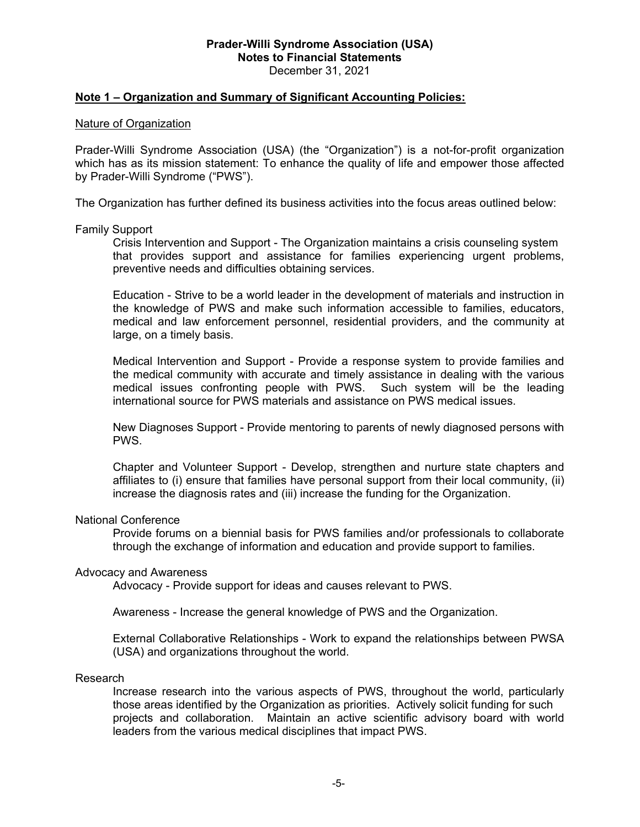# **Note 1 – Organization and Summary of Significant Accounting Policies:**

#### Nature of Organization

Prader-Willi Syndrome Association (USA) (the "Organization") is a not-for-profit organization which has as its mission statement: To enhance the quality of life and empower those affected by Prader-Willi Syndrome ("PWS").

The Organization has further defined its business activities into the focus areas outlined below:

#### Family Support

Crisis Intervention and Support - The Organization maintains a crisis counseling system that provides support and assistance for families experiencing urgent problems, preventive needs and difficulties obtaining services.

Education - Strive to be a world leader in the development of materials and instruction in the knowledge of PWS and make such information accessible to families, educators, medical and law enforcement personnel, residential providers, and the community at large, on a timely basis.

Medical Intervention and Support - Provide a response system to provide families and the medical community with accurate and timely assistance in dealing with the various medical issues confronting people with PWS. Such system will be the leading international source for PWS materials and assistance on PWS medical issues.

New Diagnoses Support - Provide mentoring to parents of newly diagnosed persons with PWS.

Chapter and Volunteer Support - Develop, strengthen and nurture state chapters and affiliates to (i) ensure that families have personal support from their local community, (ii) increase the diagnosis rates and (iii) increase the funding for the Organization.

#### National Conference

Provide forums on a biennial basis for PWS families and/or professionals to collaborate through the exchange of information and education and provide support to families.

#### Advocacy and Awareness

Advocacy - Provide support for ideas and causes relevant to PWS.

Awareness - Increase the general knowledge of PWS and the Organization.

External Collaborative Relationships - Work to expand the relationships between PWSA (USA) and organizations throughout the world.

#### Research

Increase research into the various aspects of PWS, throughout the world, particularly those areas identified by the Organization as priorities. Actively solicit funding for such projects and collaboration. Maintain an active scientific advisory board with world leaders from the various medical disciplines that impact PWS.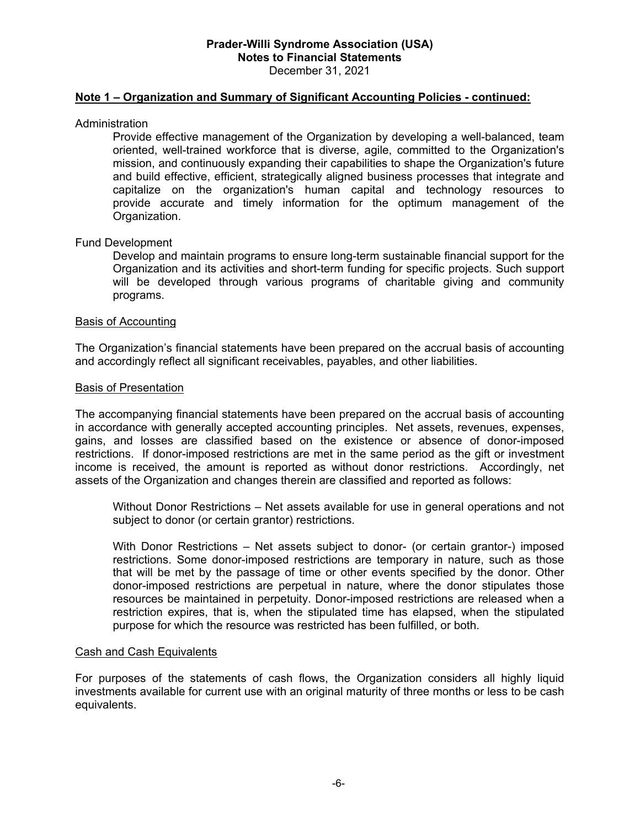# **Note 1 – Organization and Summary of Significant Accounting Policies - continued:**

# Administration

Provide effective management of the Organization by developing a well-balanced, team oriented, well-trained workforce that is diverse, agile, committed to the Organization's mission, and continuously expanding their capabilities to shape the Organization's future and build effective, efficient, strategically aligned business processes that integrate and capitalize on the organization's human capital and technology resources to provide accurate and timely information for the optimum management of the Organization.

#### Fund Development

Develop and maintain programs to ensure long-term sustainable financial support for the Organization and its activities and short-term funding for specific projects. Such support will be developed through various programs of charitable giving and community programs.

#### Basis of Accounting

The Organization's financial statements have been prepared on the accrual basis of accounting and accordingly reflect all significant receivables, payables, and other liabilities.

#### Basis of Presentation

The accompanying financial statements have been prepared on the accrual basis of accounting in accordance with generally accepted accounting principles. Net assets, revenues, expenses, gains, and losses are classified based on the existence or absence of donor-imposed restrictions. If donor-imposed restrictions are met in the same period as the gift or investment income is received, the amount is reported as without donor restrictions. Accordingly, net assets of the Organization and changes therein are classified and reported as follows:

Without Donor Restrictions – Net assets available for use in general operations and not subject to donor (or certain grantor) restrictions.

With Donor Restrictions – Net assets subject to donor- (or certain grantor-) imposed restrictions. Some donor-imposed restrictions are temporary in nature, such as those that will be met by the passage of time or other events specified by the donor. Other donor-imposed restrictions are perpetual in nature, where the donor stipulates those resources be maintained in perpetuity. Donor-imposed restrictions are released when a restriction expires, that is, when the stipulated time has elapsed, when the stipulated purpose for which the resource was restricted has been fulfilled, or both.

#### Cash and Cash Equivalents

For purposes of the statements of cash flows, the Organization considers all highly liquid investments available for current use with an original maturity of three months or less to be cash equivalents.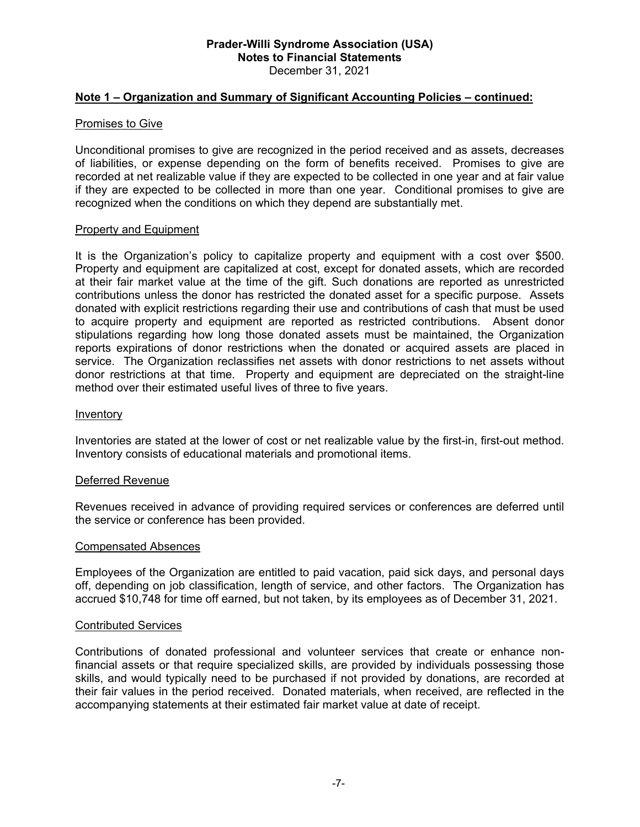# **Note 1 – Organization and Summary of Significant Accounting Policies – continued:**

### Promises to Give

Unconditional promises to give are recognized in the period received and as assets, decreases of liabilities, or expense depending on the form of benefits received. Promises to give are recorded at net realizable value if they are expected to be collected in one year and at fair value if they are expected to be collected in more than one year. Conditional promises to give are recognized when the conditions on which they depend are substantially met.

#### Property and Equipment

It is the Organization's policy to capitalize property and equipment with a cost over \$500. Property and equipment are capitalized at cost, except for donated assets, which are recorded at their fair market value at the time of the gift. Such donations are reported as unrestricted contributions unless the donor has restricted the donated asset for a specific purpose. Assets donated with explicit restrictions regarding their use and contributions of cash that must be used to acquire property and equipment are reported as restricted contributions. Absent donor stipulations regarding how long those donated assets must be maintained, the Organization reports expirations of donor restrictions when the donated or acquired assets are placed in service. The Organization reclassifies net assets with donor restrictions to net assets without donor restrictions at that time. Property and equipment are depreciated on the straight-line method over their estimated useful lives of three to five years.

#### Inventory

Inventories are stated at the lower of cost or net realizable value by the first-in, first-out method. Inventory consists of educational materials and promotional items.

#### Deferred Revenue

Revenues received in advance of providing required services or conferences are deferred until the service or conference has been provided.

#### Compensated Absences

Employees of the Organization are entitled to paid vacation, paid sick days, and personal days off, depending on job classification, length of service, and other factors. The Organization has accrued \$10,748 for time off earned, but not taken, by its employees as of December 31, 2021.

# Contributed Services

Contributions of donated professional and volunteer services that create or enhance nonfinancial assets or that require specialized skills, are provided by individuals possessing those skills, and would typically need to be purchased if not provided by donations, are recorded at their fair values in the period received. Donated materials, when received, are reflected in the accompanying statements at their estimated fair market value at date of receipt.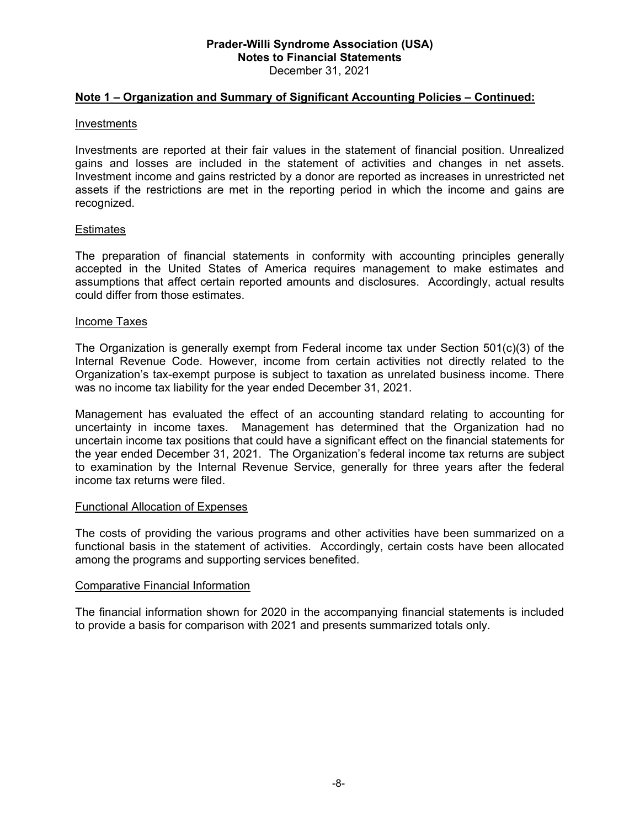# **Note 1 – Organization and Summary of Significant Accounting Policies – Continued:**

#### Investments

Investments are reported at their fair values in the statement of financial position. Unrealized gains and losses are included in the statement of activities and changes in net assets. Investment income and gains restricted by a donor are reported as increases in unrestricted net assets if the restrictions are met in the reporting period in which the income and gains are recognized.

# **Estimates**

The preparation of financial statements in conformity with accounting principles generally accepted in the United States of America requires management to make estimates and assumptions that affect certain reported amounts and disclosures. Accordingly, actual results could differ from those estimates.

#### Income Taxes

The Organization is generally exempt from Federal income tax under Section  $501(c)(3)$  of the Internal Revenue Code. However, income from certain activities not directly related to the Organization's tax-exempt purpose is subject to taxation as unrelated business income. There was no income tax liability for the year ended December 31, 2021.

Management has evaluated the effect of an accounting standard relating to accounting for uncertainty in income taxes. Management has determined that the Organization had no uncertain income tax positions that could have a significant effect on the financial statements for the year ended December 31, 2021. The Organization's federal income tax returns are subject to examination by the Internal Revenue Service, generally for three years after the federal income tax returns were filed.

#### Functional Allocation of Expenses

The costs of providing the various programs and other activities have been summarized on a functional basis in the statement of activities. Accordingly, certain costs have been allocated among the programs and supporting services benefited.

# Comparative Financial Information

The financial information shown for 2020 in the accompanying financial statements is included to provide a basis for comparison with 2021 and presents summarized totals only.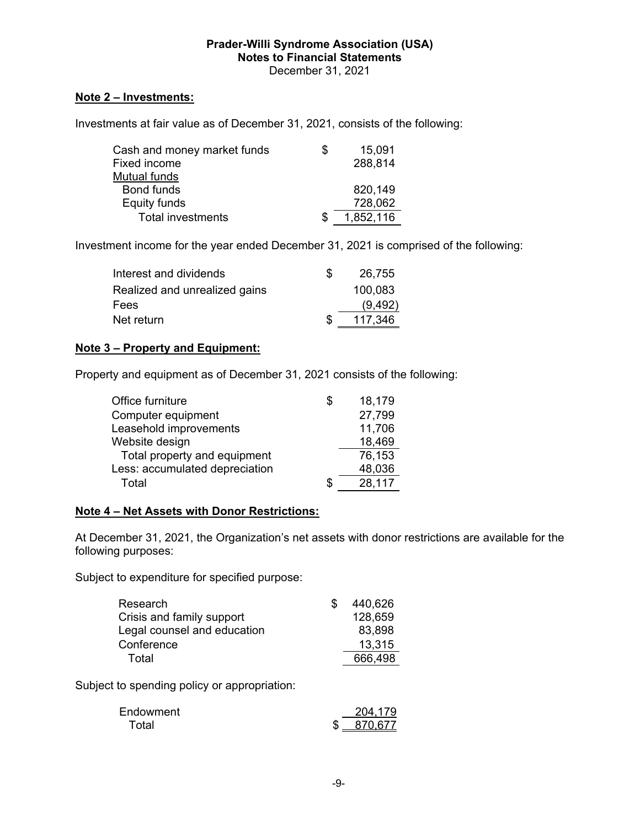# **Note 2 – Investments:**

Investments at fair value as of December 31, 2021, consists of the following:

| Cash and money market funds | S | 15,091    |
|-----------------------------|---|-----------|
| Fixed income                |   | 288,814   |
| Mutual funds                |   |           |
| <b>Bond funds</b>           |   | 820,149   |
| Equity funds                |   | 728,062   |
| <b>Total investments</b>    |   | 1,852,116 |

Investment income for the year ended December 31, 2021 is comprised of the following:

| Interest and dividends        | 26,755   |
|-------------------------------|----------|
| Realized and unrealized gains | 100,083  |
| Fees                          | (9, 492) |
| Net return                    | 117,346  |

# **Note 3 – Property and Equipment:**

Property and equipment as of December 31, 2021 consists of the following:

| Office furniture               | \$<br>18,179 |
|--------------------------------|--------------|
| Computer equipment             | 27,799       |
| Leasehold improvements         | 11,706       |
| Website design                 | 18,469       |
| Total property and equipment   | 76,153       |
| Less: accumulated depreciation | 48,036       |
| Total                          | \$<br>28,117 |

# **Note 4 – Net Assets with Donor Restrictions:**

At December 31, 2021, the Organization's net assets with donor restrictions are available for the following purposes:

Subject to expenditure for specified purpose:

| Research                    | 440,626 |
|-----------------------------|---------|
| Crisis and family support   | 128,659 |
| Legal counsel and education | 83,898  |
| Conference                  | 13,315  |
| Total                       | 666,498 |

Subject to spending policy or appropriation:

| Endowment |   | 204 179 |
|-----------|---|---------|
| ⊺otal     | Œ | 870 677 |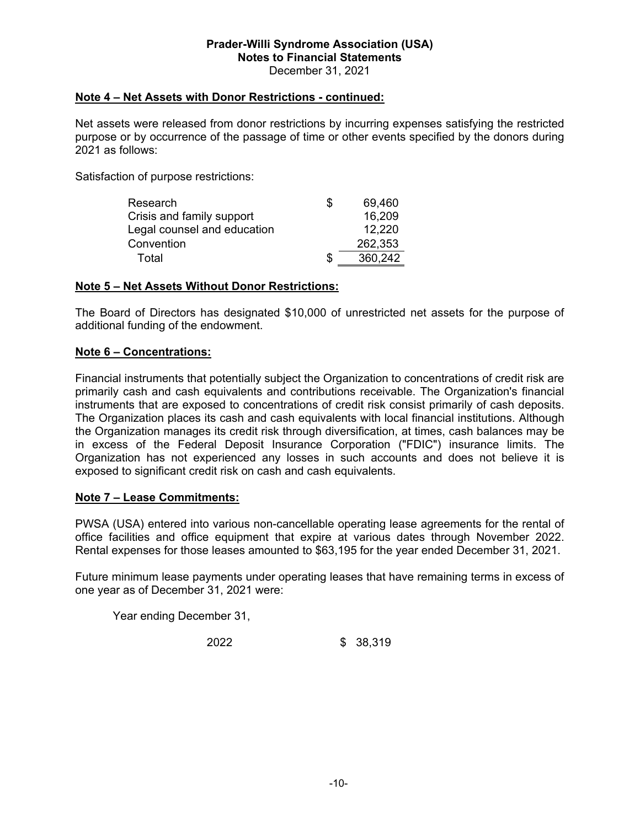# **Note 4 – Net Assets with Donor Restrictions - continued:**

Net assets were released from donor restrictions by incurring expenses satisfying the restricted purpose or by occurrence of the passage of time or other events specified by the donors during 2021 as follows:

Satisfaction of purpose restrictions:

| Research                    | S | 69,460  |
|-----------------------------|---|---------|
| Crisis and family support   |   | 16,209  |
| Legal counsel and education |   | 12,220  |
| Convention                  |   | 262,353 |
| Total                       | S | 360,242 |

# **Note 5 – Net Assets Without Donor Restrictions:**

The Board of Directors has designated \$10,000 of unrestricted net assets for the purpose of additional funding of the endowment.

# **Note 6 – Concentrations:**

Financial instruments that potentially subject the Organization to concentrations of credit risk are primarily cash and cash equivalents and contributions receivable. The Organization's financial instruments that are exposed to concentrations of credit risk consist primarily of cash deposits. The Organization places its cash and cash equivalents with local financial institutions. Although the Organization manages its credit risk through diversification, at times, cash balances may be in excess of the Federal Deposit Insurance Corporation ("FDIC") insurance limits. The Organization has not experienced any losses in such accounts and does not believe it is exposed to significant credit risk on cash and cash equivalents.

# **Note 7 – Lease Commitments:**

PWSA (USA) entered into various non-cancellable operating lease agreements for the rental of office facilities and office equipment that expire at various dates through November 2022. Rental expenses for those leases amounted to \$63,195 for the year ended December 31, 2021.

Future minimum lease payments under operating leases that have remaining terms in excess of one year as of December 31, 2021 were:

Year ending December 31,

2022 \$ 38,319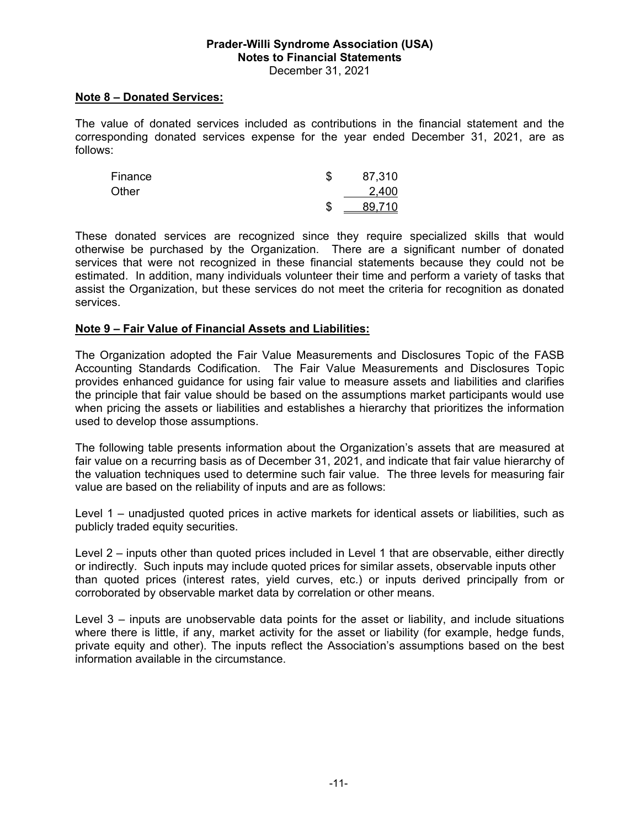# **Note 8 – Donated Services:**

The value of donated services included as contributions in the financial statement and the corresponding donated services expense for the year ended December 31, 2021, are as follows:

| Finance |   | 87,310 |
|---------|---|--------|
| Other   |   | 2,400  |
|         | D | 89,710 |

These donated services are recognized since they require specialized skills that would otherwise be purchased by the Organization. There are a significant number of donated services that were not recognized in these financial statements because they could not be estimated. In addition, many individuals volunteer their time and perform a variety of tasks that assist the Organization, but these services do not meet the criteria for recognition as donated services.

# **Note 9 – Fair Value of Financial Assets and Liabilities:**

The Organization adopted the Fair Value Measurements and Disclosures Topic of the FASB Accounting Standards Codification. The Fair Value Measurements and Disclosures Topic provides enhanced guidance for using fair value to measure assets and liabilities and clarifies the principle that fair value should be based on the assumptions market participants would use when pricing the assets or liabilities and establishes a hierarchy that prioritizes the information used to develop those assumptions.

The following table presents information about the Organization's assets that are measured at fair value on a recurring basis as of December 31, 2021, and indicate that fair value hierarchy of the valuation techniques used to determine such fair value. The three levels for measuring fair value are based on the reliability of inputs and are as follows:

Level 1 – unadjusted quoted prices in active markets for identical assets or liabilities, such as publicly traded equity securities.

Level 2 – inputs other than quoted prices included in Level 1 that are observable, either directly or indirectly. Such inputs may include quoted prices for similar assets, observable inputs other than quoted prices (interest rates, yield curves, etc.) or inputs derived principally from or corroborated by observable market data by correlation or other means.

Level 3 – inputs are unobservable data points for the asset or liability, and include situations where there is little, if any, market activity for the asset or liability (for example, hedge funds, private equity and other). The inputs reflect the Association's assumptions based on the best information available in the circumstance.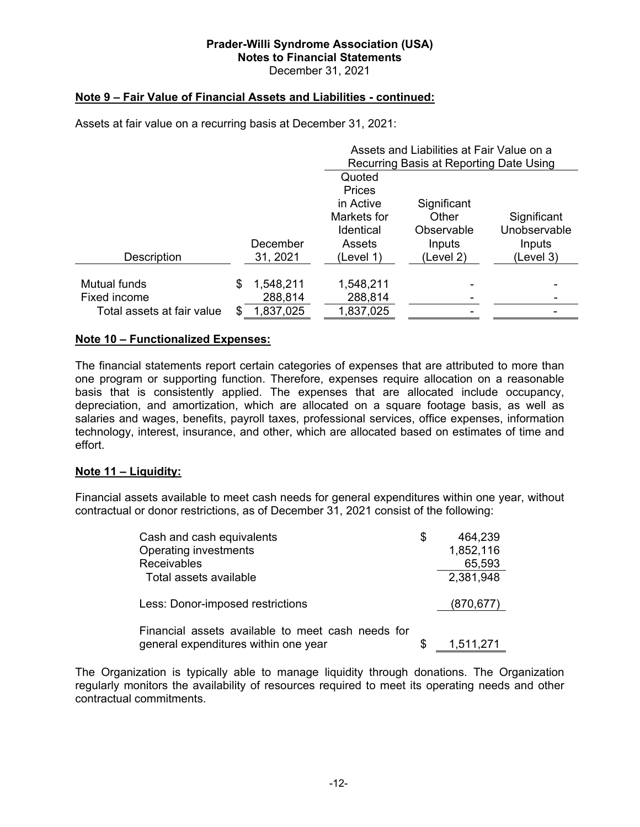December 31, 2021

# **Note 9 – Fair Value of Financial Assets and Liabilities - continued:**

Assets at fair value on a recurring basis at December 31, 2021:

|                            |    |           | Assets and Liabilities at Fair Value on a |                                         |              |  |  |
|----------------------------|----|-----------|-------------------------------------------|-----------------------------------------|--------------|--|--|
|                            |    |           |                                           | Recurring Basis at Reporting Date Using |              |  |  |
|                            |    |           | Quoted                                    |                                         |              |  |  |
|                            |    |           | Prices                                    |                                         |              |  |  |
|                            |    |           | in Active                                 | Significant                             |              |  |  |
|                            |    |           | Markets for                               | Other                                   | Significant  |  |  |
|                            |    |           | <b>Identical</b>                          | Observable                              | Unobservable |  |  |
|                            |    | December  | Assets                                    | Inputs                                  | Inputs       |  |  |
| Description                |    | 31, 2021  | (Level 1)                                 | (Level 2)                               | (Level 3)    |  |  |
|                            |    |           |                                           |                                         |              |  |  |
| Mutual funds               | \$ | 1,548,211 | 1,548,211                                 |                                         |              |  |  |
| Fixed income               |    | 288,814   | 288,814                                   |                                         |              |  |  |
| Total assets at fair value | S  | 1,837,025 | 1,837,025                                 |                                         |              |  |  |

# **Note 10 – Functionalized Expenses:**

The financial statements report certain categories of expenses that are attributed to more than one program or supporting function. Therefore, expenses require allocation on a reasonable basis that is consistently applied. The expenses that are allocated include occupancy, depreciation, and amortization, which are allocated on a square footage basis, as well as salaries and wages, benefits, payroll taxes, professional services, office expenses, information technology, interest, insurance, and other, which are allocated based on estimates of time and effort.

# **Note 11 – Liquidity:**

Financial assets available to meet cash needs for general expenditures within one year, without contractual or donor restrictions, as of December 31, 2021 consist of the following:

| Cash and cash equivalents<br>Operating investments<br>Receivables<br>Total assets available | \$<br>464,239<br>1,852,116<br>65,593<br>2,381,948 |
|---------------------------------------------------------------------------------------------|---------------------------------------------------|
| Less: Donor-imposed restrictions                                                            | (870, 677)                                        |
| Financial assets available to meet cash needs for<br>general expenditures within one year   | 1,511,271                                         |

The Organization is typically able to manage liquidity through donations. The Organization regularly monitors the availability of resources required to meet its operating needs and other contractual commitments.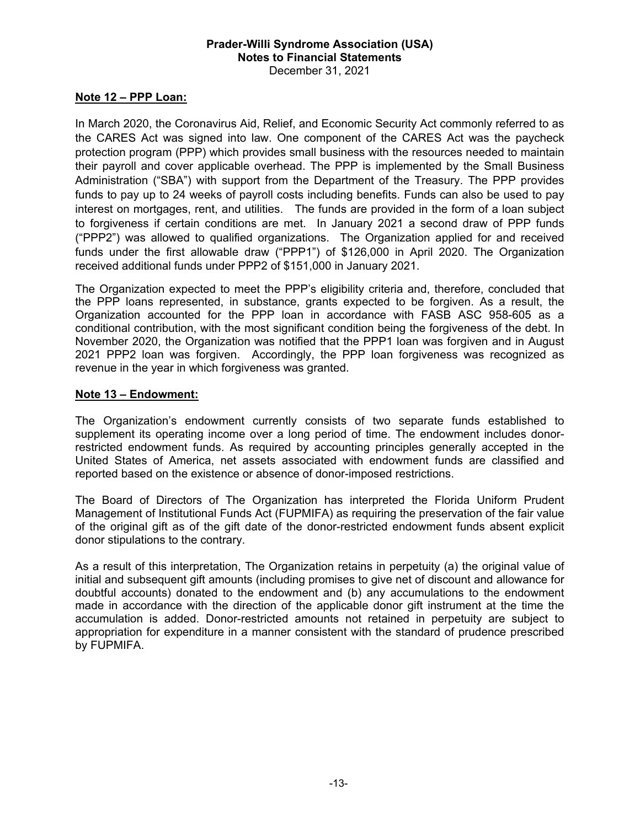# **Note 12 – PPP Loan:**

In March 2020, the Coronavirus Aid, Relief, and Economic Security Act commonly referred to as the CARES Act was signed into law. One component of the CARES Act was the paycheck protection program (PPP) which provides small business with the resources needed to maintain their payroll and cover applicable overhead. The PPP is implemented by the Small Business Administration ("SBA") with support from the Department of the Treasury. The PPP provides funds to pay up to 24 weeks of payroll costs including benefits. Funds can also be used to pay interest on mortgages, rent, and utilities. The funds are provided in the form of a loan subject to forgiveness if certain conditions are met. In January 2021 a second draw of PPP funds ("PPP2") was allowed to qualified organizations. The Organization applied for and received funds under the first allowable draw ("PPP1") of \$126,000 in April 2020. The Organization received additional funds under PPP2 of \$151,000 in January 2021.

The Organization expected to meet the PPP's eligibility criteria and, therefore, concluded that the PPP loans represented, in substance, grants expected to be forgiven. As a result, the Organization accounted for the PPP loan in accordance with FASB ASC 958-605 as a conditional contribution, with the most significant condition being the forgiveness of the debt. In November 2020, the Organization was notified that the PPP1 loan was forgiven and in August 2021 PPP2 loan was forgiven. Accordingly, the PPP loan forgiveness was recognized as revenue in the year in which forgiveness was granted.

# **Note 13 – Endowment:**

The Organization's endowment currently consists of two separate funds established to supplement its operating income over a long period of time. The endowment includes donorrestricted endowment funds. As required by accounting principles generally accepted in the United States of America, net assets associated with endowment funds are classified and reported based on the existence or absence of donor-imposed restrictions.

The Board of Directors of The Organization has interpreted the Florida Uniform Prudent Management of Institutional Funds Act (FUPMIFA) as requiring the preservation of the fair value of the original gift as of the gift date of the donor-restricted endowment funds absent explicit donor stipulations to the contrary.

As a result of this interpretation, The Organization retains in perpetuity (a) the original value of initial and subsequent gift amounts (including promises to give net of discount and allowance for doubtful accounts) donated to the endowment and (b) any accumulations to the endowment made in accordance with the direction of the applicable donor gift instrument at the time the accumulation is added. Donor-restricted amounts not retained in perpetuity are subject to appropriation for expenditure in a manner consistent with the standard of prudence prescribed by FUPMIFA.